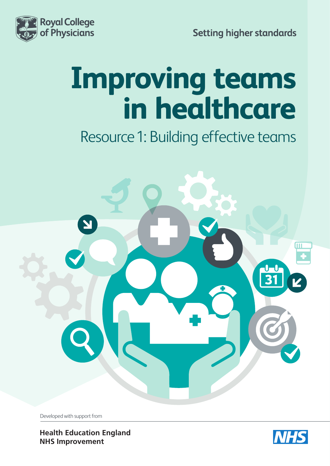

**Setting higher standards** 

# **Improving teams in healthcare**

Resource 1: Building effective teams



Developed with support from

**[Health Education England](https://hee.nhs.uk/) [NHS Improvement](https://improvement.nhs.uk/)**

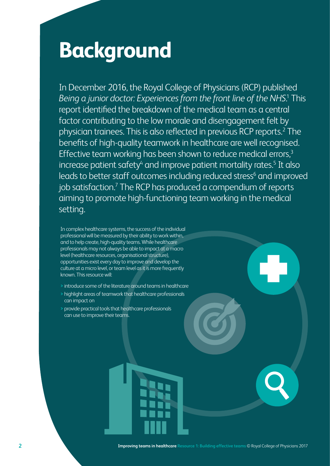# **Background**

In December 2016, the Royal College of Physicians (RCP) published Being a junior doctor: Experiences from the front line of the NHS.<sup>1</sup> This report identified the breakdown of the medical team as a central factor contributing to the low morale and disengagement felt by physician trainees. This is also reflected in previous RCP reports.<sup>2</sup> The benefits of high-quality teamwork in healthcare are well recognised. Effective team working has been shown to reduce medical errors,<sup>3</sup> increase patient safety<sup>4</sup> and improve patient mortality rates.<sup>5</sup> It also leads to better staff outcomes including reduced stress<sup>6</sup> and improved job satisfaction.<sup>7</sup> The RCP has produced a compendium of reports aiming to promote high-functioning team working in the medical setting.

In complex healthcare systems, the success of the individual professional will be measured by their ability to work within, and to help create, high-quality teams. While healthcare professionals may not always be able to impact at a macro level (healthcare resources, organisational structure), opportunities exist every day to improve and develop the culture at a micro level, or team level as it is more frequently known. This resource will:

- **>** introduce some of the literature around teams in healthcare
- **>** highlight areas of teamwork that healthcare professionals can impact on
- **>** provide practical tools that healthcare professionals can use to improve their teams.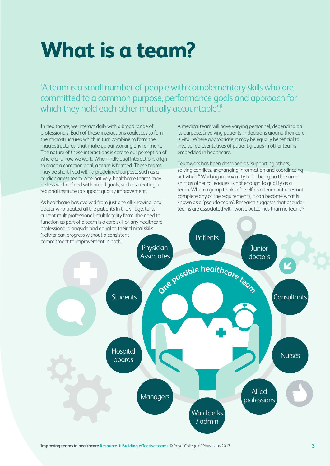# **What is a team?**

'A team is a small number of people with complementary skills who are committed to a common purpose, performance goals and approach for which they hold each other mutually accountable'.<sup>8</sup>

In healthcare, we interact daily with a broad range of professionals. Each of these interactions coalesces to form the microstructures which in turn combine to form the macrostructures, that make up our working environment. The nature of these interactions is core to our perception of where and how we work. When individual interactions align to reach a common goal, a team is formed. These teams may be short-lived with a predefined purpose, such as a cardiac arrest team. Alternatively, healthcare teams may be less well-defined with broad goals, such as creating a regional institute to support quality improvement.

As healthcare has evolved from just one all-knowing local doctor who treated all the patients in the village, to its current multiprofessional, multilocality form, the need to function as part of a team is a core skill of any healthcare A medical team will have varying personnel, depending on its purpose. Involving patients in decisions around their care is vital. Where appropriate, it may be equally beneficial to involve representatives of patient groups in other teams embedded in healthcare.

Teamwork has been described as 'supporting others, solving conflicts, exchanging information and coordinating activities'.<sup>9</sup> Working in proximity to, or being on the same shift as other colleagues, is not enough to qualify as a team. When a group thinks of itself as a team but does not complete any of the requirements, it can become what is known as a 'pseudo-team'. Research suggests that pseudoteams are associated with worse outcomes than no team.10

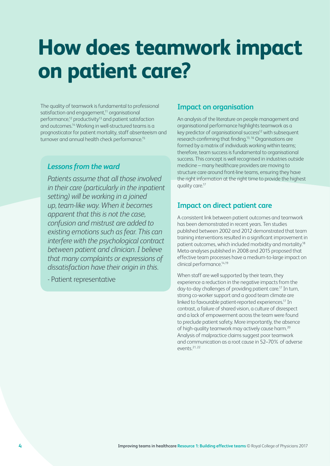# **How does teamwork impact on patient care?**

The quality of teamwork is fundamental to professional satisfaction and engagement,<sup>11</sup> organisational performance, $12$  productivity $13$  and patient satisfaction and outcomes.14 Working in well-structured teams is a prognosticator for patient mortality, staff absenteeism and turnover and annual health check performance.<sup>15</sup>

### *Lessons from the ward*

*Patients assume that all those involved in their care (particularly in the inpatient setting) will be working in a joined up, team-like way. When it becomes apparent that this is not the case, confusion and mistrust are added to existing emotions such as fear. This can interfere with the psychological contract between patient and clinician. I believe that many complaints or expressions of dissatisfaction have their origin in this.*

- Patient representative

### **Impact on organisation**

An analysis of the literature on people management and organisational performance highlights teamwork as a key predictor of organisational success $12$  with subsequent research confirming that finding.13, 16 Organisations are formed by a matrix of individuals working within teams; therefore, team success is fundamental to organisational success. This concept is well recognised in industries outside medicine – many healthcare providers are moving to structure care around front-line teams, ensuring they have the right information at the right time to provide the highest quality care.<sup>17</sup>

## **Impact on direct patient care**

A consistent link between patient outcomes and teamwork has been demonstrated in recent years. Ten studies published between 2002 and 2012 demonstrated that team training interventions resulted in a significant improvement in patient outcomes, which included morbidity and mortality.18 Meta-analyses published in 2008 and 2015 proposed that effective team processes have a medium-to-large impact on clinical performance.14,19

When staff are well supported by their team, they experience a reduction in the negative impacts from the day-to-day challenges of providing patient care.17 In turn, strong co-worker support and a good team climate are linked to favourable patient-reported experiences.<sup>17</sup> In contrast, a failure of shared vision, a culture of disrespect and a lack of empowerment across the team were found to preclude patient safety. More importantly, the absence of high-quality teamwork may actively cause harm.20 Analysis of malpractice claims suggest poor teamwork and communication as a root cause in 52–70% of adverse events.21, 22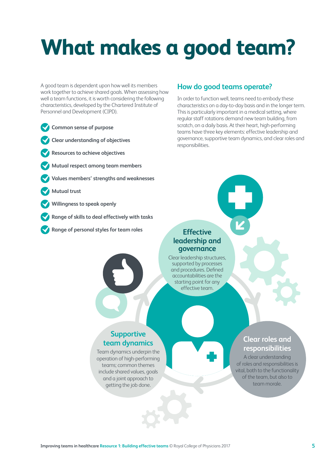# **What makes a good team?**

A good team is dependent upon how well its members work together to achieve shared goals. When assessing how well a team functions, it is worth considering the following characteristics, developed by the Chartered Institute of Personnel and Development (CIPD).

- **Common sense of purpose**
- **Clear understanding of objectives**
- **Resources to achieve objectives**
- **Mutual respect among team members**
- **Values members' strengths and weaknesses**
- **Mutual trust**
- **Willingness to speak openly**
- **Range of skills to deal effectively with tasks**
- **Range of personal styles for team roles**

#### **How do good teams operate?**

In order to function well, teams need to embody these characteristics on a day-to-day basis and in the longer term. This is particularly important in a medical setting, where regular staff rotations demand new team building, from scratch, on a daily basis. At their heart, high-performing teams have three key elements: effective leadership and governance, supportive team dynamics, and clear roles and responsibilities.

#### **Effective leadership and governance**

Clear leadership structures, supported by processes and procedures. Defined accountabilities are the starting point for any effective team.

# **Supportive team dynamics**

Team dynamics underpin the operation of high-performing teams; common themes include shared values, goals and a joint approach to getting the job done.

# **Clear roles and responsibilities**

A clear understanding of roles and responsibilities is vital, both to the functionality of the team, but also to team morale.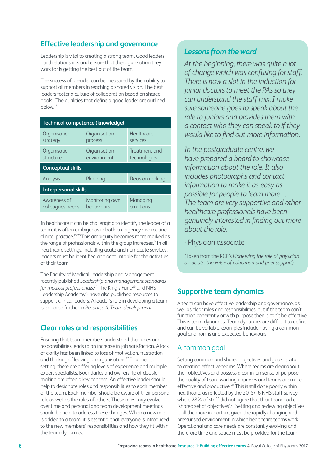# **Effective leadership and governance**

Leadership is vital to creating a strong team. Good leaders build relationships and ensure that the organisation they work for is getting the best out of the team.

The success of a leader can be measured by their ability to support all members in reaching a shared vision. The best leaders foster a culture of collaboration based on shared goals. The qualities that define a good leader are outlined below.13

| Technical competence (knowledge) |                              |                               |
|----------------------------------|------------------------------|-------------------------------|
| Organisation<br>strategy         | Organisation<br>process      | Healthcare<br>services        |
| Organisation<br>structure        | Organisation<br>environment  | Treatment and<br>technologies |
| <b>Conceptual skills</b>         |                              |                               |
| Analysis                         | Planning                     | Decision making               |
| <b>Interpersonal skills</b>      |                              |                               |
| Awareness of<br>colleagues needs | Monitoring own<br>behaviours | Managing<br>emotions          |

In healthcare it can be challenging to identify the leader of a team: it is often ambiguous in both emergency and routine clinical practice.13,23 This ambiguity becomes more marked as the range of professionals within the group increases.<sup>9</sup> In all healthcare settings, including acute and non-acute services, leaders must be identified and accountable for the activities of their team.

The Faculty of Medical Leadership and Management recently published *Leadership and management standards for medical professionals*. 24 The King's Fund25 and NHS Leadership Academy26 have also published resources to support clinical leaders. A leader's role in developing a team is explored further in *Resource 4: Team development*.

# **Clear roles and responsibilities**

Ensuring that team members understand their roles and responsibilities leads to an increase in job satisfaction. A lack of clarity has been linked to loss of motivation, frustration and thinking of leaving an organisation.27 In a medical setting, there are differing levels of experience and multiple expert specialists. Boundaries and ownership of decision making are often a key concern. An effective leader should help to designate roles and responsibilities to each member of the team. Each member should be aware of their personal role as well as the roles of others. These roles may evolve over time and personal and team development meetings should be held to address these changes. When a new role is added to a team, it is essential that everyone is introduced to the new members' responsibilities and how they fit within the team dynamics.

### *Lessons from the ward*

*At the beginning, there was quite a lot of change which was confusing for staff. There is now a slot in the induction for junior doctors to meet the PAs so they can understand the staff mix. I make sure someone goes to speak about the role to juniors and provides them with a contact who they can speak to if they would like to find out more information.* 

*In the postgraduate centre, we have prepared a board to showcase information about the role. It also includes photographs and contact information to make it as easy as possible for people to learn more… The team are very supportive and other healthcare professionals have been genuinely interested in finding out more about the role.* 

- Physician associate

(Taken from the RCP's *Pioneering the role of physician associate: the value of education and peer support*)

## **Supportive team dynamics**

A team can have effective leadership and governance, as well as clear roles and responsibilities, but if the team can't function coherently or with purpose then it can't be effective. This is team dynamics. Team dynamics are difficult to define and can be variable; examples include having a common goal and norms and expected behaviours.

#### A common goal

Setting common and shared objectives and goals is vital to creating effective teams. Where teams are clear about their objectives and possess a common sense of purpose, the quality of team working improves and teams are more effective and productive.28 This is still done poorly within healthcare, as reflected by the 2015/16 NHS staff survey where 28% of staff did not agree that their team had a 'shared set of objectives'.29 Setting and reviewing objectives is all the more important given the rapidly changing and pressurised environment in which healthcare teams work. Operational and care needs are constantly evolving and therefore time and space must be provided for the team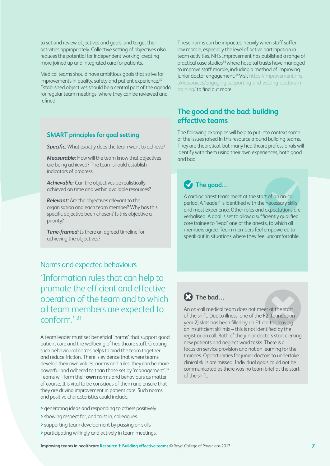to set and review objectives and goals, and target their activities appropriately. Collective setting of objectives also reduces the potential for independent working, creating more joined up and integrated care for patients.

Medical teams should have ambitious goals that strive for improvements in quality, safety and patient experience.<sup>30</sup> Established objectives should be a central part of the agenda for regular team meetings, where they can be reviewed and refined.

#### **SMART principles for goal setting**

**Specific:** What exactly does the team want to achieve?

*Measurable:* How will the team know that objectives are being achieved? The team should establish indicators of progress.

*Achievable:* Can the objectives be realistically achieved on time and within available resources?

*Relevant:* Are the objectives relevant to the organisation and each team member? Why has this specific objective been chosen? Is this objective a priority?

*Time-framed:* Is there an agreed timeline for achieving the objectives?

#### Norms and expected behaviours

'Information rules that can help to promote the efficient and effective operation of the team and to which all team members are expected to conform<sup>' 31</sup>

A team leader must set beneficial 'norms' that support good patient care and the wellbeing of healthcare staff. Creating such behavioural norms helps to bind the team together and reduce friction. There is evidence that where teams develop their own values, norms and rules, they can be more powerful and adhered to than those set by 'management'.32 Teams will form their **own** norms and behaviours as matter of course. It is vital to be conscious of them and ensure that they are driving improvement in patient care. Such norms and positive characteristics could include:

- **>** generating ideas and responding to others positively
- **>** showing respect for, and trust in, colleagues
- **>** supporting team development by passing on skills
- **>** participating willingly and actively in team meetings.

These norms can be impacted heavily when staff suffer low morale, especially the level of active participation in team activities. NHS Improvement has published a range of practical case studies<sup>33</sup> where hospital trusts have managed to improve staff morale, including a method of improving junior doctor engagement.<sup>34</sup> Visit https://improvement.nhs. uk/resources/engaging-supporting-and-valuing-doctors-intraining/ to find out more.

## **The good and the bad: building effective teams**

The following examples will help to put into context some of the issues raised in this resource around building teams. They are theoretical, but many healthcare professionals will identify with them using their own experiences, both good and bad.

# $\blacktriangledown$  The good...

A cardiac arrest team meet at the start of an on-call period. A 'leader' is identified with the necessary skills and most experience. Other roles and expectations are verbalised. A goal is set to allow a sufficiently qualified core trainee to 'lead' one of the arrests, to which all members agree. Team members feel empowered to speak out in situations where they feel uncomfortable.

# **The bad…**

An on-call medical team does not meet at the start of the shift. Due to illness, one of the F2 (foundation year 2) slots has been filled by an F1 doctor, leaving an insufficient skillmix – this is not identified by the registrar on call. Both of the junior doctors start clerking new patients and neglect ward tasks. There is a focus on service provision and not on learning for the trainees. Opportunities for junior doctors to undertake clinical skills are missed. Individual goals could not be communicated as there was no team brief at the start of the shift.